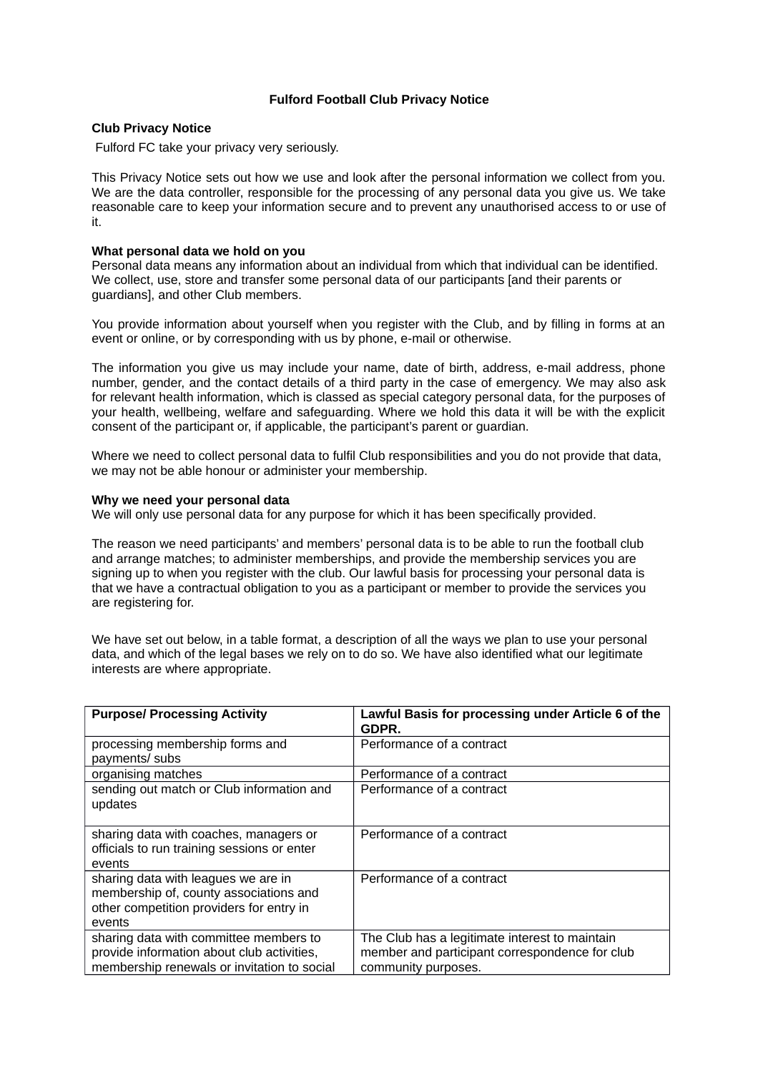## **Fulford Football Club Privacy Notice**

## **Club Privacy Notice**

Fulford FC take your privacy very seriously.

This Privacy Notice sets out how we use and look after the personal information we collect from you. We are the data controller, responsible for the processing of any personal data you give us. We take reasonable care to keep your information secure and to prevent any unauthorised access to or use of it.

## **What personal data we hold on you**

Personal data means any information about an individual from which that individual can be identified. We collect, use, store and transfer some personal data of our participants [and their parents or guardians], and other Club members.

You provide information about yourself when you register with the Club, and by filling in forms at an event or online, or by corresponding with us by phone, e-mail or otherwise.

The information you give us may include your name, date of birth, address, e-mail address, phone number, gender, and the contact details of a third party in the case of emergency. We may also ask for relevant health information, which is classed as special category personal data, for the purposes of your health, wellbeing, welfare and safeguarding. Where we hold this data it will be with the explicit consent of the participant or, if applicable, the participant's parent or guardian.

Where we need to collect personal data to fulfil Club responsibilities and you do not provide that data, we may not be able honour or administer your membership.

#### **Why we need your personal data**

We will only use personal data for any purpose for which it has been specifically provided.

The reason we need participants' and members' personal data is to be able to run the football club and arrange matches; to administer memberships, and provide the membership services you are signing up to when you register with the club. Our lawful basis for processing your personal data is that we have a contractual obligation to you as a participant or member to provide the services you are registering for.

We have set out below, in a table format, a description of all the ways we plan to use your personal data, and which of the legal bases we rely on to do so. We have also identified what our legitimate interests are where appropriate.

| <b>Purpose/ Processing Activity</b>                                                                                                 | Lawful Basis for processing under Article 6 of the<br>GDPR.                                                             |
|-------------------------------------------------------------------------------------------------------------------------------------|-------------------------------------------------------------------------------------------------------------------------|
| processing membership forms and<br>payments/ subs                                                                                   | Performance of a contract                                                                                               |
| organising matches                                                                                                                  | Performance of a contract                                                                                               |
| sending out match or Club information and<br>updates                                                                                | Performance of a contract                                                                                               |
| sharing data with coaches, managers or<br>officials to run training sessions or enter<br>events                                     | Performance of a contract                                                                                               |
| sharing data with leagues we are in<br>membership of, county associations and<br>other competition providers for entry in<br>events | Performance of a contract                                                                                               |
| sharing data with committee members to<br>provide information about club activities,<br>membership renewals or invitation to social | The Club has a legitimate interest to maintain<br>member and participant correspondence for club<br>community purposes. |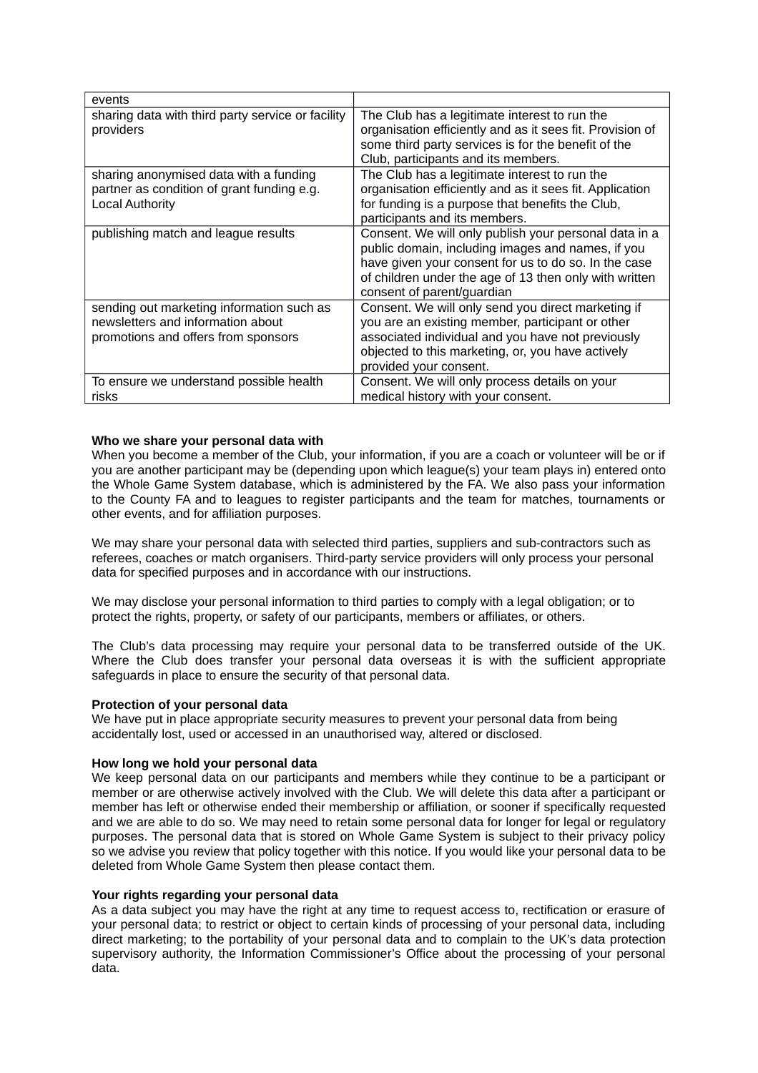| events                                                                                                                |                                                                                                                                                                                                                                                            |
|-----------------------------------------------------------------------------------------------------------------------|------------------------------------------------------------------------------------------------------------------------------------------------------------------------------------------------------------------------------------------------------------|
| sharing data with third party service or facility<br>providers                                                        | The Club has a legitimate interest to run the<br>organisation efficiently and as it sees fit. Provision of<br>some third party services is for the benefit of the<br>Club, participants and its members.                                                   |
| sharing anonymised data with a funding<br>partner as condition of grant funding e.g.<br><b>Local Authority</b>        | The Club has a legitimate interest to run the<br>organisation efficiently and as it sees fit. Application<br>for funding is a purpose that benefits the Club,<br>participants and its members.                                                             |
| publishing match and league results                                                                                   | Consent. We will only publish your personal data in a<br>public domain, including images and names, if you<br>have given your consent for us to do so. In the case<br>of children under the age of 13 then only with written<br>consent of parent/guardian |
| sending out marketing information such as<br>newsletters and information about<br>promotions and offers from sponsors | Consent. We will only send you direct marketing if<br>you are an existing member, participant or other<br>associated individual and you have not previously<br>objected to this marketing, or, you have actively<br>provided your consent.                 |
| To ensure we understand possible health<br>risks                                                                      | Consent. We will only process details on your<br>medical history with your consent.                                                                                                                                                                        |

# **Who we share your personal data with**

When you become a member of the Club, your information, if you are a coach or volunteer will be or if you are another participant may be (depending upon which league(s) your team plays in) entered onto the Whole Game System database, which is administered by the FA. We also pass your information to the County FA and to leagues to register participants and the team for matches, tournaments or other events, and for affiliation purposes.

We may share your personal data with selected third parties, suppliers and sub-contractors such as referees, coaches or match organisers. Third-party service providers will only process your personal data for specified purposes and in accordance with our instructions.

We may disclose your personal information to third parties to comply with a legal obligation; or to protect the rights, property, or safety of our participants, members or affiliates, or others.

The Club's data processing may require your personal data to be transferred outside of the UK. Where the Club does transfer your personal data overseas it is with the sufficient appropriate safeguards in place to ensure the security of that personal data.

## **Protection of your personal data**

We have put in place appropriate security measures to prevent your personal data from being accidentally lost, used or accessed in an unauthorised way, altered or disclosed.

## **How long we hold your personal data**

We keep personal data on our participants and members while they continue to be a participant or member or are otherwise actively involved with the Club. We will delete this data after a participant or member has left or otherwise ended their membership or affiliation, or sooner if specifically requested and we are able to do so. We may need to retain some personal data for longer for legal or regulatory purposes. The personal data that is stored on Whole Game System is subject to their privacy policy so we advise you review that policy together with this notice. If you would like your personal data to be deleted from Whole Game System then please contact them.

## **Your rights regarding your personal data**

As a data subject you may have the right at any time to request access to, rectification or erasure of your personal data; to restrict or object to certain kinds of processing of your personal data, including direct marketing; to the portability of your personal data and to complain to the UK's data protection supervisory authority, the Information Commissioner's Office about the processing of your personal data.